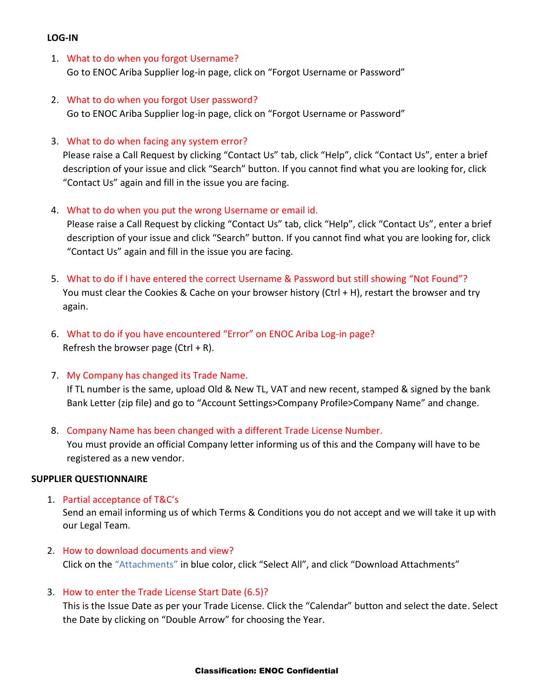# **LOG-IN**

- 1. What to do when you forgot Username? Go to ENOC Ariba Supplier log-in page, click on "Forgot Username or Password"
- 2. What to do when you forgot User password? Go to ENOC Ariba Supplier log-in page, click on "Forgot Username or Password"
- 3. What to do when facing any system error?

Please raise a Call Request by clicking "Contact Us" tab, click "Help", click "Contact Us", enter a brief description of your issue and click "Search" button. If you cannot find what you are looking for, click "Contact Us" again and fill in the issue you are facing.

4. What to do when you put the wrong Username or email id.

Please raise a Call Request by clicking "Contact Us" tab, click "Help", click "Contact Us", enter a brief description of your issue and click "Search" button. If you cannot find what you are looking for, click "Contact Us" again and fill in the issue you are facing.

- 5. What to do if I have entered the correct Username & Password but still showing "Not Found"? You must clear the Cookies & Cache on your browser history (Ctrl + H), restart the browser and try again.
- 6. What to do if you have encountered "Error" on ENOC Ariba Log-in page? Refresh the browser page (Ctrl + R).
- 7. My Company has changed its Trade Name.

If TL number is the same, upload Old & New TL, VAT and new recent, stamped & signed by the bank Bank Letter (zip file) and go to "Account Settings>Company Profile>Company Name" and change.

8. Company Name has been changed with a different Trade License Number. You must provide an official Company letter informing us of this and the Company will have to be registered as a new vendor.

#### **SUPPLIER QUESTIONNAIRE**

1. Partial acceptance of T&C's

Send an email informing us of which Terms & Conditions you do not accept and we will take it up with our Legal Team.

- 2. How to download documents and view? Click on the "Attachments" in blue color, click "Select All", and click "Download Attachments"
- 3. How to enter the Trade License Start Date (6.5)?

This is the Issue Date as per your Trade License. Click the "Calendar" button and select the date. Select the Date by clicking on "Double Arrow" for choosing the Year.

# Classification: ENOC Confidential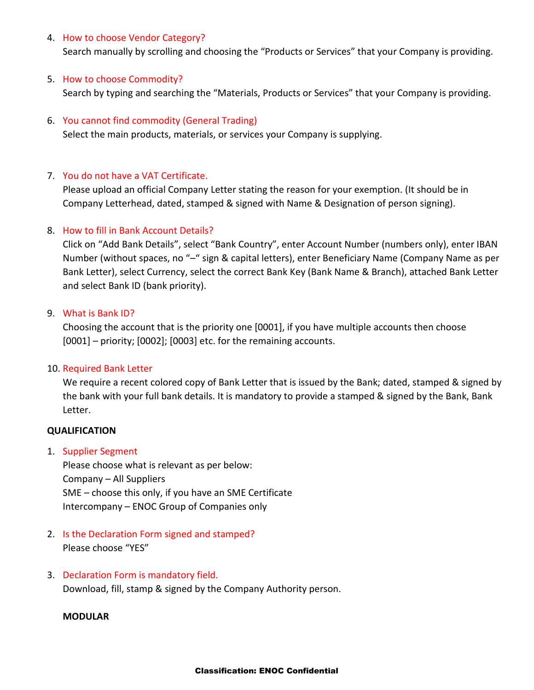# 4. How to choose Vendor Category?

Search manually by scrolling and choosing the "Products or Services" that your Company is providing.

## 5. How to choose Commodity?

Search by typing and searching the "Materials, Products or Services" that your Company is providing.

## 6. You cannot find commodity (General Trading)

Select the main products, materials, or services your Company is supplying.

# 7. You do not have a VAT Certificate.

Please upload an official Company Letter stating the reason for your exemption. (It should be in Company Letterhead, dated, stamped & signed with Name & Designation of person signing).

# 8. How to fill in Bank Account Details?

Click on "Add Bank Details", select "Bank Country", enter Account Number (numbers only), enter IBAN Number (without spaces, no "–" sign & capital letters), enter Beneficiary Name (Company Name as per Bank Letter), select Currency, select the correct Bank Key (Bank Name & Branch), attached Bank Letter and select Bank ID (bank priority).

#### 9. What is Bank ID?

Choosing the account that is the priority one [0001], if you have multiple accounts then choose [0001] – priority; [0002]; [0003] etc. for the remaining accounts.

#### 10. Required Bank Letter

We require a recent colored copy of Bank Letter that is issued by the Bank; dated, stamped & signed by the bank with your full bank details. It is mandatory to provide a stamped & signed by the Bank, Bank Letter.

### **QUALIFICATION**

#### 1. Supplier Segment

Please choose what is relevant as per below: Company – All Suppliers SME – choose this only, if you have an SME Certificate Intercompany – ENOC Group of Companies only

2. Is the Declaration Form signed and stamped? Please choose "YES"

# 3. Declaration Form is mandatory field.

Download, fill, stamp & signed by the Company Authority person.

#### **MODULAR**